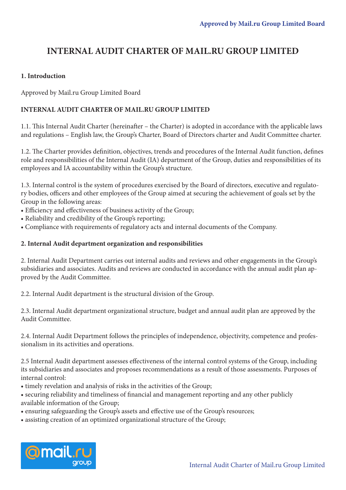# **INTERNAL AUDIT CHARTER OF MAIL.RU GROUP LIMITED**

# **1. Introduction**

Approved by Mail.ru Group Limited Board

# **INTERNAL AUDIT CHARTER OF MAIL.RU GROUP LIMITED**

1.1. This Internal Audit Charter (hereinafter – the Charter) is adopted in accordance with the applicable laws and regulations – English law, the Group's Charter, Board of Directors charter and Audit Committee charter.

1.2. The Charter provides definition, objectives, trends and procedures of the Internal Audit function, defines role and responsibilities of the Internal Audit (IA) department of the Group, duties and responsibilities of its employees and IA accountability within the Group's structure.

1.3. Internal control is the system of procedures exercised by the Board of directors, executive and regulatory bodies, officers and other employees of the Group aimed at securing the achievement of goals set by the Group in the following areas:

- Efficiency and effectiveness of business activity of the Group;
- Reliability and credibility of the Group's reporting;
- Compliance with requirements of regulatory acts and internal documents of the Company.

## **2. Internal Audit department organization and responsibilities**

2. Internal Audit Department carries out internal audits and reviews and other engagements in the Group's subsidiaries and associates. Audits and reviews are conducted in accordance with the annual audit plan approved by the Audit Committee.

2.2. Internal Audit department is the structural division of the Group.

2.3. Internal Audit department organizational structure, budget and annual audit plan are approved by the Audit Committee.

2.4. Internal Audit Department follows the principles of independence, objectivity, competence and professionalism in its activities and operations.

2.5 Internal Audit department assesses effectiveness of the internal control systems of the Group, including its subsidiaries and associates and proposes recommendations as a result of those assessments. Purposes of internal control:

• timely revelation and analysis of risks in the activities of the Group;

• securing reliability and timeliness of financial and management reporting and any other publicly available information of the Group;

- ensuring safeguarding the Group's assets and effective use of the Group's resources;
- assisting creation of an optimized organizational structure of the Group;

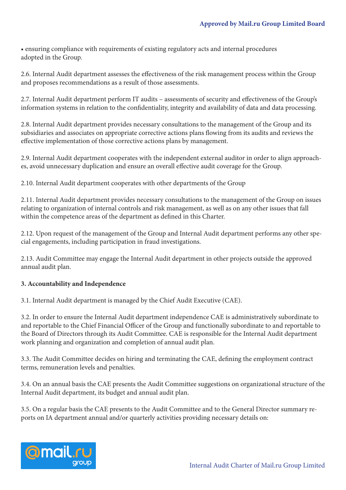• ensuring compliance with requirements of existing regulatory acts and internal procedures adopted in the Group.

2.6. Internal Audit department assesses the effectiveness of the risk management process within the Group and proposes recommendations as a result of those assessments.

2.7. Internal Audit department perform IT audits – assessments of security and effectiveness of the Group's information systems in relation to the confidentiality, integrity and availability of data and data processing.

2.8. Internal Audit department provides necessary consultations to the management of the Group and its subsidiaries and associates on appropriate corrective actions plans flowing from its audits and reviews the effective implementation of those corrective actions plans by management.

2.9. Internal Audit department cooperates with the independent external auditor in order to align approaches, avoid unnecessary duplication and ensure an overall effective audit coverage for the Group.

2.10. Internal Audit department cooperates with other departments of the Group

2.11. Internal Audit department provides necessary consultations to the management of the Group on issues relating to organization of internal controls and risk management, as well as on any other issues that fall within the competence areas of the department as defined in this Charter.

2.12. Upon request of the management of the Group and Internal Audit department performs any other special engagements, including participation in fraud investigations.

2.13. Audit Committee may engage the Internal Audit department in other projects outside the approved annual audit plan.

# **3. Accountability and Independence**

3.1. Internal Audit department is managed by the Chief Audit Executive (CAE).

3.2. In order to ensure the Internal Audit department independence CAE is administratively subordinate to and reportable to the Chief Financial Officer of the Group and functionally subordinate to and reportable to the Board of Directors through its Audit Committee. CAE is responsible for the Internal Audit department work planning and organization and completion of annual audit plan.

3.3. The Audit Committee decides on hiring and terminating the CAE, defining the employment contract terms, remuneration levels and penalties.

3.4. On an annual basis the CAE presents the Audit Committee suggestions on organizational structure of the Internal Audit department, its budget and annual audit plan.

3.5. On a regular basis the CAE presents to the Audit Committee and to the General Director summary reports on IA department annual and/or quarterly activities providing necessary details on:

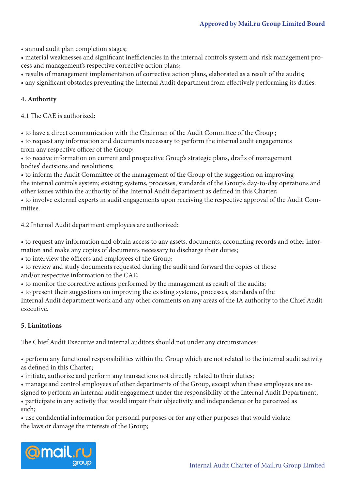• annual audit plan completion stages;

• material weaknesses and significant inefficiencies in the internal controls system and risk management process and management's respective corrective action plans;

- results of management implementation of corrective action plans, elaborated as a result of the audits;
- any significant obstacles preventing the Internal Audit department from effectively performing its duties.

# **4. Authority**

4.1 The CAE is authorized:

• to have a direct communication with the Chairman of the Audit Committee of the Group ;

• to request any information and documents necessary to perform the internal audit engagements from any respective officer of the Group;

• to receive information on current and prospective Group's strategic plans, drafts of management bodies' decisions and resolutions;

• to inform the Audit Committee of the management of the Group of the suggestion on improving the internal controls system; existing systems, processes, standards of the Group's day-to-day operations and other issues within the authority of the Internal Audit department as defined in this Charter;

• to involve external experts in audit engagements upon receiving the respective approval of the Audit Committee.

4.2 Internal Audit department employees are authorized:

• to request any information and obtain access to any assets, documents, accounting records and other information and make any copies of documents necessary to discharge their duties;

• to interview the officers and employees of the Group;

• to review and study documents requested during the audit and forward the copies of those and/or respective information to the CAE;

• to monitor the corrective actions performed by the management as result of the audits;

• to present their suggestions on improving the existing systems, processes, standards of the

Internal Audit department work and any other comments on any areas of the IA authority to the Chief Audit executive.

### **5. Limitations**

The Chief Audit Executive and internal auditors should not under any circumstances:

• perform any functional responsibilities within the Group which are not related to the internal audit activity as defined in this Charter;

• initiate, authorize and perform any transactions not directly related to their duties;

• manage and control employees of other departments of the Group, except when these employees are as-

signed to perform an internal audit engagement under the responsibility of the Internal Audit Department;

• participate in any activity that would impair their objectivity and independence or be perceived as such;

• use confidential information for personal purposes or for any other purposes that would violate the laws or damage the interests of the Group;